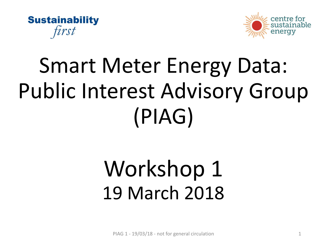



# Smart Meter Energy Data: Public Interest Advisory Group (PIAG)

# Workshop 1 19 March 2018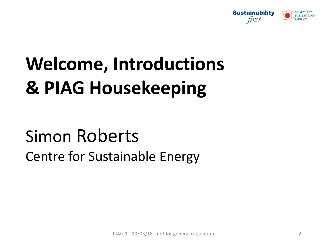

# **Welcome, Introductions & PIAG Housekeeping**

## Simon Roberts Centre for Sustainable Energy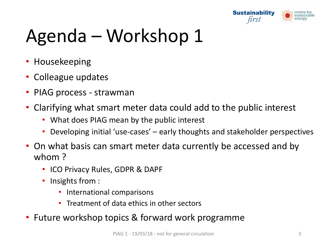

# Agenda – Workshop 1

- Housekeeping
- Colleague updates
- PIAG process strawman
- Clarifying what smart meter data could add to the public interest
	- What does PIAG mean by the public interest
	- Developing initial 'use-cases' early thoughts and stakeholder perspectives
- On what basis can smart meter data currently be accessed and by whom ?
	- ICO Privacy Rules, GDPR & DAPF
	- Insights from :
		- International comparisons
		- Treatment of data ethics in other sectors
- Future workshop topics & forward work programme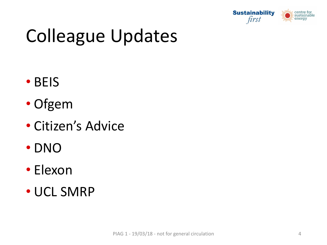

# Colleague Updates

- BEIS
- Ofgem
- Citizen's Advice
- DNO
- Elexon
- UCL SMRP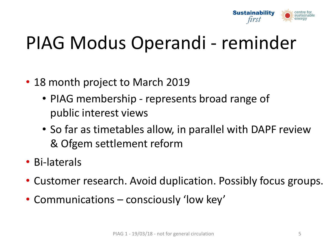

# PIAG Modus Operandi - reminder

- 18 month project to March 2019
	- PIAG membership represents broad range of public interest views
	- So far as timetables allow, in parallel with DAPF review & Ofgem settlement reform
- Bi-laterals
- Customer research. Avoid duplication. Possibly focus groups.
- Communications consciously 'low key'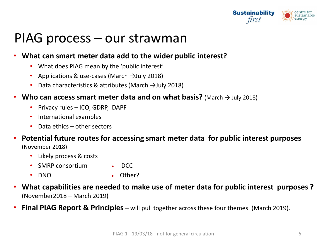

#### PIAG process – our strawman

#### • **What can smart meter data add to the wider public interest?**

- What does PIAG mean by the 'public interest'
- Applications & use-cases (March →July 2018)
- Data characteristics & attributes (March →July 2018)

#### **• Who can access smart meter data and on what basis?** (March  $\rightarrow$  July 2018)

- Privacy rules ICO, GDRP, DAPF
- International examples
- Data ethics other sectors
- **Potential future routes for accessing smart meter data for public interest purposes** (November 2018)
	- Likely process & costs
	- SMRP consortium DCC
	- DNO Other?
- **What capabilities are needed to make use of meter data for public interest purposes ?**  (November2018 – March 2019)
- **Final PIAG Report & Principles**  will pull together across these four themes. (March 2019).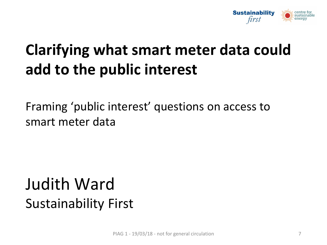

## **Clarifying what smart meter data could add to the public interest**

Framing 'public interest' questions on access to smart meter data

## Judith Ward Sustainability First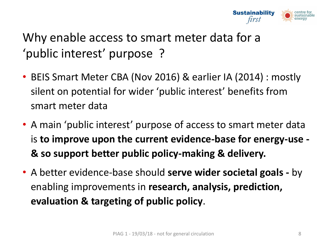

#### Why enable access to smart meter data for a 'public interest' purpose ?

- BEIS Smart Meter CBA (Nov 2016) & earlier IA (2014) : mostly silent on potential for wider 'public interest' benefits from smart meter data
- A main 'public interest' purpose of access to smart meter data is **to improve upon the current evidence-base for energy-use - & so support better public policy-making & delivery.**
- A better evidence-base should **serve wider societal goals -** by enabling improvements in **research, analysis, prediction, evaluation & targeting of public policy**.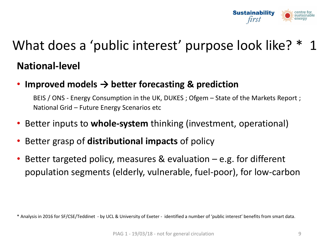

## What does a 'public interest' purpose look like? \* 1 **National-level**

• **Improved models → better forecasting & prediction** 

BEIS / ONS - Energy Consumption in the UK, DUKES ; Ofgem – State of the Markets Report ; National Grid – Future Energy Scenarios etc

- Better inputs to **whole-system** thinking (investment, operational)
- Better grasp of **distributional impacts** of policy
- Better targeted policy, measures & evaluation  $-e.g.$  for different population segments (elderly, vulnerable, fuel-poor), for low-carbon

<sup>\*</sup> Analysis in 2016 for SF/CSE/Teddinet - by UCL & University of Exeter - identified a number of 'public interest' benefits from smart data.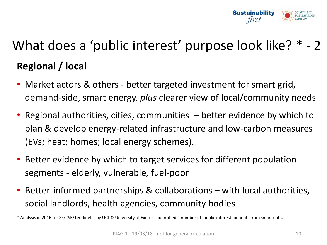

## What does a 'public interest' purpose look like? \* - 2 **Regional / local**

- Market actors & others better targeted investment for smart grid, demand-side, smart energy, *plus* clearer view of local/community needs
- Regional authorities, cities, communities  $-$  better evidence by which to plan & develop energy-related infrastructure and low-carbon measures (EVs; heat; homes; local energy schemes).
- Better evidence by which to target services for different population segments - elderly, vulnerable, fuel-poor
- Better-informed partnerships & collaborations with local authorities, social landlords, health agencies, community bodies

\* Analysis in 2016 for SF/CSE/Teddinet - by UCL & University of Exeter - identified a number of 'public interest' benefits from smart data.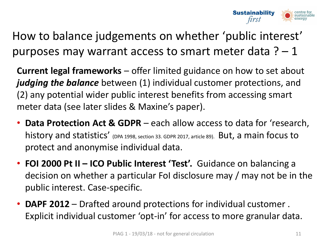

How to balance judgements on whether 'public interest' purposes may warrant access to smart meter data  $? - 1$ 

**Current legal frameworks** – offer limited guidance on how to set about *judging the balance* between (1) individual customer protections, and (2) any potential wider public interest benefits from accessing smart meter data (see later slides & Maxine's paper).

- **Data Protection Act & GDPR**  each allow access to data for 'research, history and statistics' (DPA 1998, section 33. GDPR 2017, article 89). But, a main focus to protect and anonymise individual data.
- **FOI 2000 Pt II – ICO Public Interest 'Test'.** Guidance on balancing a decision on whether a particular FoI disclosure may / may not be in the public interest. Case-specific.
- **DAPF 2012**  Drafted around protections for individual customer . Explicit individual customer 'opt-in' for access to more granular data.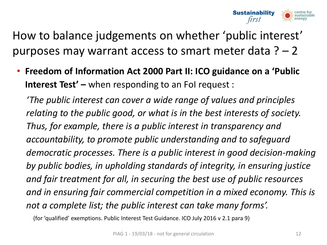

How to balance judgements on whether 'public interest' purposes may warrant access to smart meter data  $? - 2$ 

• **Freedom of Information Act 2000 Part II: ICO guidance on a 'Public Interest Test' –** when responding to an FoI request :

*'The public interest can cover a wide range of values and principles relating to the public good, or what is in the best interests of society. Thus, for example, there is a public interest in transparency and accountability, to promote public understanding and to safeguard democratic processes. There is a public interest in good decision-making by public bodies, in upholding standards of integrity, in ensuring justice and fair treatment for all, in securing the best use of public resources and in ensuring fair commercial competition in a mixed economy. This is not a complete list; the public interest can take many forms'.* 

(for 'qualified' exemptions. Public Interest Test Guidance. ICO July 2016 v 2.1 para 9)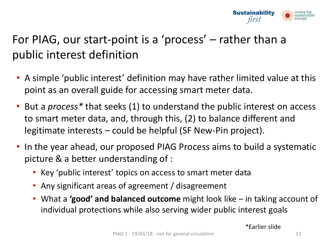

#### For PIAG, our start-point is a 'process' – rather than a public interest definition

- A simple 'public interest' definition may have rather limited value at this point as an overall guide for accessing smart meter data.
- But a *process\** that seeks (1) to understand the public interest on access to smart meter data, and, through this, (2) to balance different and legitimate interests – could be helpful (SF New-Pin project).
- In the year ahead, our proposed PIAG Process aims to build a systematic picture & a better understanding of :
	- Key 'public interest' topics on access to smart meter data
	- Any significant areas of agreement / disagreement
	- What a **'good' and balanced outcome** might look like in taking account of individual protections while also serving wider public interest goals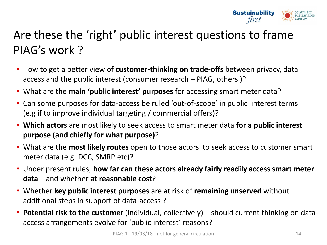

#### Are these the 'right' public interest questions to frame PIAG's work ?

- How to get a better view of **customer-thinking on trade-offs** between privacy, data access and the public interest (consumer research – PIAG, others )?
- What are the **main 'public interest' purposes** for accessing smart meter data?
- Can some purposes for data-access be ruled 'out-of-scope' in public interest terms (e.g if to improve individual targeting / commercial offers)?
- **Which actors** are most likely to seek access to smart meter data **for a public interest purpose (and chiefly for what purpose)**?
- What are the **most likely routes** open to those actors to seek access to customer smart meter data (e.g. DCC, SMRP etc)?
- Under present rules, **how far can these actors already fairly readily access smart meter data** – and whether **at reasonable cost**?
- Whether **key public interest purposes** are at risk of **remaining unserved** without additional steps in support of data-access ?
- **Potential risk to the customer** (individual, collectively) should current thinking on dataaccess arrangements evolve for 'public interest' reasons?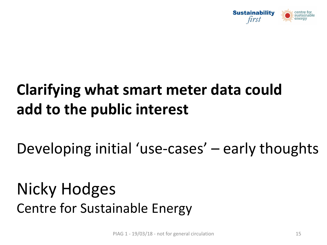

## **Clarifying what smart meter data could add to the public interest**

Developing initial 'use-cases' – early thoughts

Nicky Hodges Centre for Sustainable Energy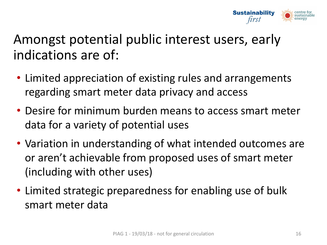

#### Amongst potential public interest users, early indications are of:

- Limited appreciation of existing rules and arrangements regarding smart meter data privacy and access
- Desire for minimum burden means to access smart meter data for a variety of potential uses
- Variation in understanding of what intended outcomes are or aren't achievable from proposed uses of smart meter (including with other uses)
- Limited strategic preparedness for enabling use of bulk smart meter data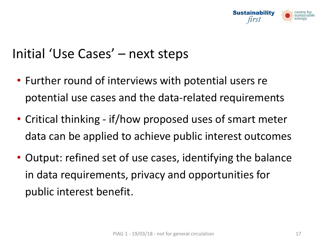

#### Initial 'Use Cases' – next steps

- Further round of interviews with potential users re potential use cases and the data-related requirements
- Critical thinking if/how proposed uses of smart meter data can be applied to achieve public interest outcomes
- Output: refined set of use cases, identifying the balance in data requirements, privacy and opportunities for public interest benefit.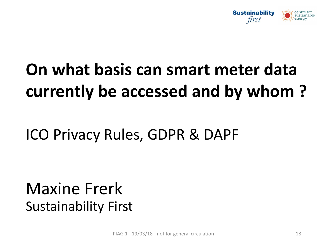

# **On what basis can smart meter data currently be accessed and by whom ?**

### ICO Privacy Rules, GDPR & DAPF

### Maxine Frerk Sustainability First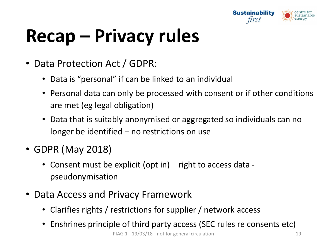

# **Recap – Privacy rules**

- Data Protection Act / GDPR:
	- Data is "personal" if can be linked to an individual
	- Personal data can only be processed with consent or if other conditions are met (eg legal obligation)
	- Data that is suitably anonymised or aggregated so individuals can no longer be identified – no restrictions on use
- GDPR (May 2018)
	- Consent must be explicit (opt in) right to access data pseudonymisation
- Data Access and Privacy Framework
	- Clarifies rights / restrictions for supplier / network access
	- Enshrines principle of third party access (SEC rules re consents etc)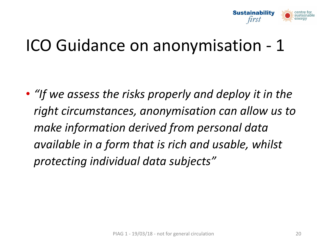

## ICO Guidance on anonymisation - 1

• *"If we assess the risks properly and deploy it in the right circumstances, anonymisation can allow us to make information derived from personal data available in a form that is rich and usable, whilst protecting individual data subjects"*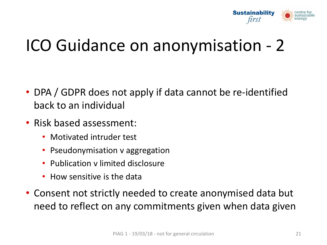

## ICO Guidance on anonymisation - 2

- DPA / GDPR does not apply if data cannot be re-identified back to an individual
- Risk based assessment:
	- Motivated intruder test
	- Pseudonymisation v aggregation
	- Publication v limited disclosure
	- How sensitive is the data
- Consent not strictly needed to create anonymised data but need to reflect on any commitments given when data given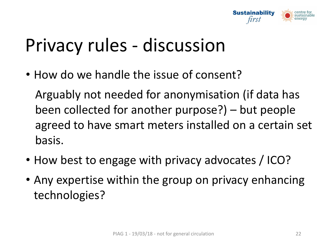

## Privacy rules - discussion

• How do we handle the issue of consent?

Arguably not needed for anonymisation (if data has been collected for another purpose?) – but people agreed to have smart meters installed on a certain set basis.

- How best to engage with privacy advocates / ICO?
- Any expertise within the group on privacy enhancing technologies?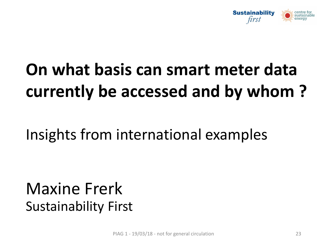

# **On what basis can smart meter data currently be accessed and by whom ?**

Insights from international examples

## Maxine Frerk Sustainability First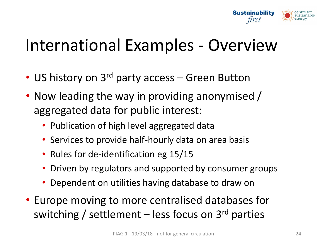

## International Examples - Overview

- US history on 3<sup>rd</sup> party access Green Button
- Now leading the way in providing anonymised / aggregated data for public interest:
	- Publication of high level aggregated data
	- Services to provide half-hourly data on area basis
	- Rules for de-identification eg 15/15
	- Driven by regulators and supported by consumer groups
	- Dependent on utilities having database to draw on
- Europe moving to more centralised databases for switching / settlement – less focus on  $3<sup>rd</sup>$  parties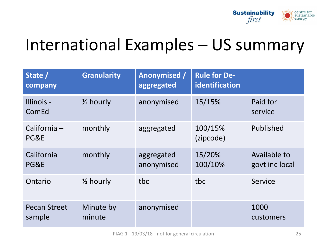

## International Examples – US summary

| State /<br>company            | <b>Granularity</b>   | <b>Anonymised /</b><br>aggregated | <b>Rule for De-</b><br>identification |                                |
|-------------------------------|----------------------|-----------------------------------|---------------------------------------|--------------------------------|
| Illinois -<br>ComEd           | $\frac{1}{2}$ hourly | anonymised                        | 15/15%                                | Paid for<br>service            |
| California $-$<br>PG&E        | monthly              | aggregated                        | 100/15%<br>(zipcode)                  | Published                      |
| California $-$<br>PG&E        | monthly              | aggregated<br>anonymised          | 15/20%<br>100/10%                     | Available to<br>govt inc local |
| Ontario                       | $\frac{1}{2}$ hourly | tbc                               | tbc                                   | Service                        |
| <b>Pecan Street</b><br>sample | Minute by<br>minute  | anonymised                        |                                       | 1000<br>customers              |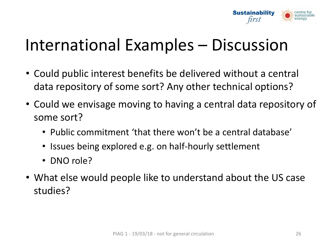

## International Examples – Discussion

- Could public interest benefits be delivered without a central data repository of some sort? Any other technical options?
- Could we envisage moving to having a central data repository of some sort?
	- Public commitment 'that there won't be a central database'
	- Issues being explored e.g. on half-hourly settlement
	- DNO role?
- What else would people like to understand about the US case studies?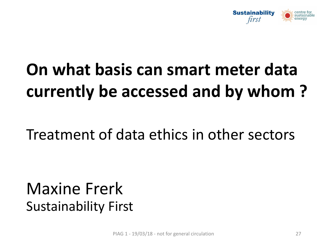

# **On what basis can smart meter data currently be accessed and by whom ?**

#### Treatment of data ethics in other sectors

### Maxine Frerk Sustainability First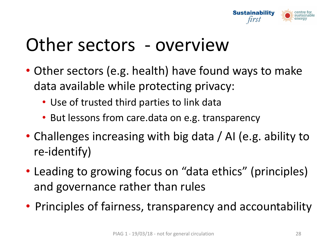

## Other sectors - overview

- Other sectors (e.g. health) have found ways to make data available while protecting privacy:
	- Use of trusted third parties to link data
	- But lessons from care.data on e.g. transparency
- Challenges increasing with big data / AI (e.g. ability to re-identify)
- Leading to growing focus on "data ethics" (principles) and governance rather than rules
- Principles of fairness, transparency and accountability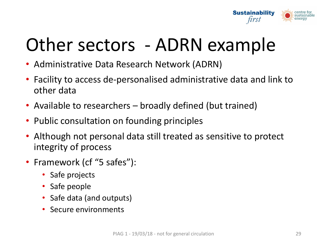

# Other sectors - ADRN example

- Administrative Data Research Network (ADRN)
- Facility to access de-personalised administrative data and link to other data
- Available to researchers broadly defined (but trained)
- Public consultation on founding principles
- Although not personal data still treated as sensitive to protect integrity of process
- Framework (cf "5 safes"):
	- Safe projects
	- Safe people
	- Safe data (and outputs)
	- Secure environments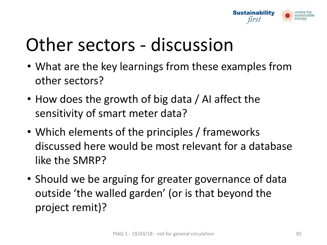

# Other sectors - discussion

- What are the key learnings from these examples from other sectors?
- How does the growth of big data / AI affect the sensitivity of smart meter data?
- Which elements of the principles / frameworks discussed here would be most relevant for a database like the SMRP?
- Should we be arguing for greater governance of data outside 'the walled garden' (or is that beyond the project remit)?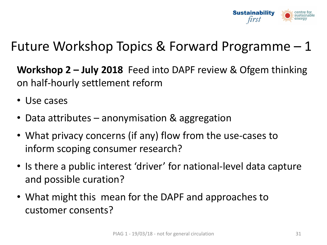

#### Future Workshop Topics & Forward Programme – 1

**Workshop 2 – July 2018** Feed into DAPF review & Ofgem thinking on half-hourly settlement reform

- Use cases
- Data attributes anonymisation & aggregation
- What privacy concerns (if any) flow from the use-cases to inform scoping consumer research?
- Is there a public interest 'driver' for national-level data capture and possible curation?
- What might this mean for the DAPF and approaches to customer consents?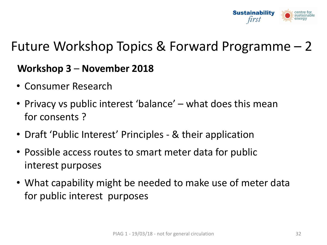

#### Future Workshop Topics & Forward Programme – 2

#### **Workshop 3** – **November 2018**

- Consumer Research
- Privacy vs public interest 'balance' what does this mean for consents ?
- Draft 'Public Interest' Principles & their application
- Possible access routes to smart meter data for public interest purposes
- What capability might be needed to make use of meter data for public interest purposes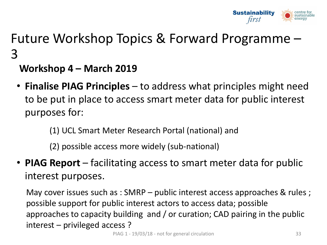

#### Future Workshop Topics & Forward Programme – 3

#### **Workshop 4 – March 2019**

- **Finalise PIAG Principles**  to address what principles might need to be put in place to access smart meter data for public interest purposes for:
	- (1) UCL Smart Meter Research Portal (national) and
	- (2) possible access more widely (sub-national)
- **PIAG Report**  facilitating access to smart meter data for public interest purposes.

May cover issues such as : SMRP – public interest access approaches & rules ; possible support for public interest actors to access data; possible approaches to capacity building and / or curation; CAD pairing in the public interest – privileged access ?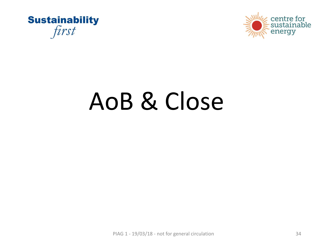



# AoB & Close